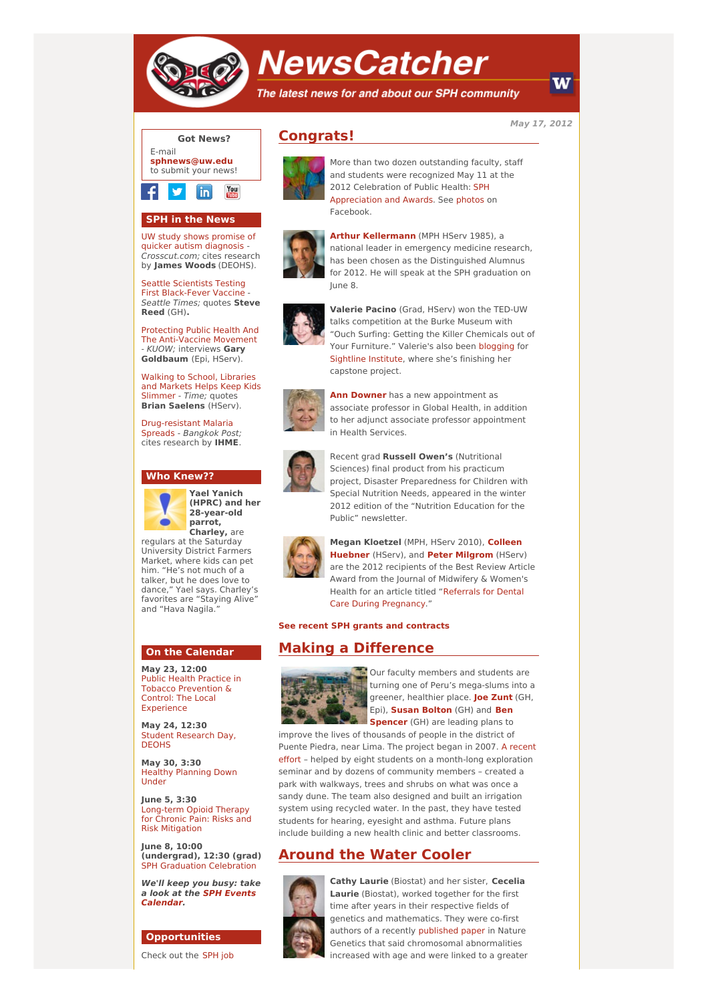

# **NewsCatcher**

The latest news for and about our SPH community

**May 17, 2012**



You in

## **SPH in the News**

UW study shows promise of quicker autism [diagnosis](http://engage.washington.edu/site/R?i=bCC4MFmZzwIRQgQFPX51ew) - Crosscut.com; cites research by **James Woods** (DEOHS).

Seattle Scientists Testing First [Black-Fever](http://engage.washington.edu/site/R?i=7AoktrnCGc6D2GSdm0v3bA) Vaccine - Seattle Times; quotes **Steve Reed** (GH)**.**

Protecting Public Health And The [Anti-Vaccine](http://engage.washington.edu/site/R?i=1kjItOnd8fs1rigAGu2iSg) Movement - KUOW; interviews **Gary Goldbaum** (Epi, HServ).

Walking to School, [Libraries](http://engage.washington.edu/site/R?i=yO_f05F6iSqRJQiyjiGm2w) and Markets Helps Keep Kids Slimmer - Time; quotes **Brian Saelens** (HServ).

[Drug-resistant](http://engage.washington.edu/site/R?i=OKRYMxO6zaxJ1Yber53Wxg) Malaria Spreads - Bangkok Post; cites research by **IHME**.

#### **Who Knew??**



**Yael Yanich (HPRC) and her 28-year-old parrot, Charley,** are

regulars at the Saturday University District Farmers Market, where kids can pet him. "He's not much of a talker, but he does love to dance," Yael says. Charley's favorites are "Staying Alive" and "Hava Nagila.

#### **On the Calendar**

**May 23, 12:00** Public Health Practice in Tobacco [Prevention](http://engage.washington.edu/site/R?i=mE1zGpkYUY8anjskKct0cw) & Control: The Local Experience

**May 24, 12:30** Student [Research](http://engage.washington.edu/site/R?i=CroemiQHuPC2Rm1DMdo7NA) Day, **DEOHS** 

**May 30, 3:30** Healthy [Planning](http://engage.washington.edu/site/R?i=Oq1UUsqfIppOEM2gTKqXpg) Down Under

**June 5, 3:30** [Long-term](http://engage.washington.edu/site/R?i=ITFgJjWQX_3eVth9Cc-yyw) Opioid Therapy for Chronic Pain: Risks and Risk Mitigation

**June 8, 10:00 (undergrad), 12:30 (grad)** SPH Graduation [Celebration](http://engage.washington.edu/site/R?i=06o2fHvVHEGxPlSBZ6Bhbw)

**We'll keep you busy: take a look at the SPH Events [Calendar.](http://engage.washington.edu/site/R?i=2cscWl30V9-dko1Y_OMd-w)**

## **Opportunities**

[Check](http://engage.washington.edu/site/R?i=mCwWLgItpM68dOyCUfVhuQ) out the SPH job

# **Congrats!**

Facebook.



**Arthur [Kellermann](http://engage.washington.edu/site/R?i=N6Aw_X9H1Fvm5GjJPLOBDA)** (MPH HServ 1985), a national leader in emergency medicine research, has been chosen as the Distinguished Alumnus for 2012. He will speak at the SPH graduation on June 8.

More than two dozen outstanding faculty, staff and students were recognized May 11 at the 2012 Celebration of Public Health: SPH [Appreciation](http://engage.washington.edu/site/R?i=82h_Wcgma5r_5w6ur2vB3A) and Awards. See [photos](http://engage.washington.edu/site/R?i=zgxz3fsnS7u4UTv92EwJHA) on



**Valerie Pacino** (Grad, HServ) won the TED-UW talks competition at the Burke Museum with "Ouch Surfing: Getting the Killer Chemicals out of Your Furniture." Valerie's also been [blogging](http://engage.washington.edu/site/R?i=50u1iIC2Z1ic6LD4WddlAA) for [Sightline](http://engage.washington.edu/site/R?i=C_yHPl7N2AadaiEGHxGoEQ) Institute, where she's finishing her capstone project.



**Ann [Downer](http://engage.washington.edu/site/R?i=Kc9QPf-0Yn9vmpJcA6H38w)** has a new appointment as associate professor in Global Health, in addition to her adjunct associate professor appointment in Health Services.



Recent grad **Russell Owen's** (Nutritional Sciences) final product from his practicum project, Disaster Preparedness for Children with Special Nutrition Needs, appeared in the winter 2012 edition of the "Nutrition Education for the Public" newsletter.



**Megan [Kloetzel](http://engage.washington.edu/site/R?i=idzWJ720LnZdLvOcbV4Hcw)** (MPH, HServ 2010), **Colleen Huebner** (HServ), and **Peter [Milgrom](http://engage.washington.edu/site/R?i=-nm9RCi4BOOGKq3MsB5TrA)** (HServ) are the 2012 recipients of the Best Review Article Award from the Journal of Midwifery & Women's Health for an article titled "Referrals for Dental Care During [Pregnancy."](http://engage.washington.edu/site/R?i=8c9sdIrxxe4GH0iMfVyVzA)

**See recent SPH grants and [contracts](http://engage.washington.edu/site/R?i=aTkj09fjYKfRYlQLpehOqA)**

## **Making a Difference**



Our faculty members and students are turning one of Peru's mega-slums into a greener, healthier place. **Joe [Zunt](http://engage.washington.edu/site/R?i=J94OdnqlxnTg4r4-nJ4CzQ)** (GH, Epi), **Susan [Bolton](http://engage.washington.edu/site/R?i=-JmSjCPK2bmP5V0Ru01IJQ)** (GH) and **Ben [Spencer](http://engage.washington.edu/site/R?i=QStoEKREk9Ow8i-4oslTlg)** (GH) are leading plans to

improve the lives of thousands of people in the district of Puente Piedra, near Lima. The project began in 2007. A recent effort – helped by eight students on a [month-long](http://engage.washington.edu/site/R?i=3cEVIiNqGZrJuyNPoRD-vg) exploration seminar and by dozens of community members – created a park with walkways, trees and shrubs on what was once a sandy dune. The team also designed and built an irrigation system using recycled water. In the past, they have tested students for hearing, eyesight and asthma. Future plans include building a new health clinic and better classrooms.

## **Around the Water Cooler**



**Cathy Laurie** (Biostat) and her sister, **Cecelia Laurie** (Biostat), worked together for the first time after years in their respective fields of genetics and mathematics. They were co-first authors of a recently [published](http://engage.washington.edu/site/R?i=RUzUJ3yWrWlQjgJhA6xzyQ) paper in Nature Genetics that said chromosomal abnormalities increased with age and were linked to a greater

W